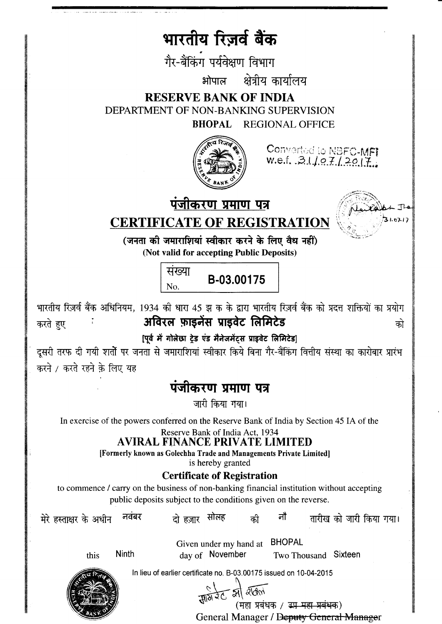## भारतीय रिज़र्व बैंक

गैर-बैंकिंग पर्यवेक्षण विभाग

क्षेत्रीय कार्यालय भोपाल

**RESERVE BANK OF INDIA** DEPARTMENT OF NON-BANKING SUPERVISION **BHOPAL REGIONAL OFFICE** 



Converted to NBFC-MFI<br>w.e.f. .3.1./.e.7./2017.

पंजीकरण प्रमाण पत्र



**CERTIFICATE OF REGISTRATION** 

(जनता की जमाराशियां स्वीकार करने के लिए वैध नहीं) (Not valid for accepting Public Deposits)



भारतीय रिज़र्व बैंक अधिनियम, 1934 की धारा 45 झ क के द्वारा भारतीय रिज़र्व बैंक को प्रदत्त शक्तियों का प्रयोग अविरल फ़ाइनेंस प्राइवेट लिमिटेड करते हुए को

[पूर्व में गोलेछा ट्रेड एंड मैनेजमेंटस प्राइवेट लिमिटेड]

दूसरी तरफ दी गयी शर्तो पर जनता से जमाराशियां स्वीकार किये बिना गैर-बैंकिंग वित्तीय संस्था का कारोबार प्रारंभ करने / करते रहने के लिए यह

## पंजीकरण प्रमाण पत्र

जारी किया गया।

In exercise of the powers conferred on the Reserve Bank of India by Section 45 IA of the

Reserve Bank of India Act, 1934

## **AVIRAL FINANCE PRIVATE LIMITED**

[Formerly known as Golechha Trade and Managements Private Limited]

is hereby granted

## **Certificate of Registration**

to commence / carry on the business of non-banking financial institution without accepting public deposits subject to the conditions given on the reverse.

नवंबर मेरे हस्ताक्षर के अधीन

दो हजार सोलह

की

तारीख को जारी किया गया।

**Ninth** this

Given under my hand at BHOPAL Two Thousand Sixteen day of November

In lieu of earlier certificate no. B-03.00175 issued on 10-04-2015



 $H1012C$  and alone

(महा प्रबंधक / <del>इप महा प्रबंध</del>क)

नो

General Manager / Deputy General Manager